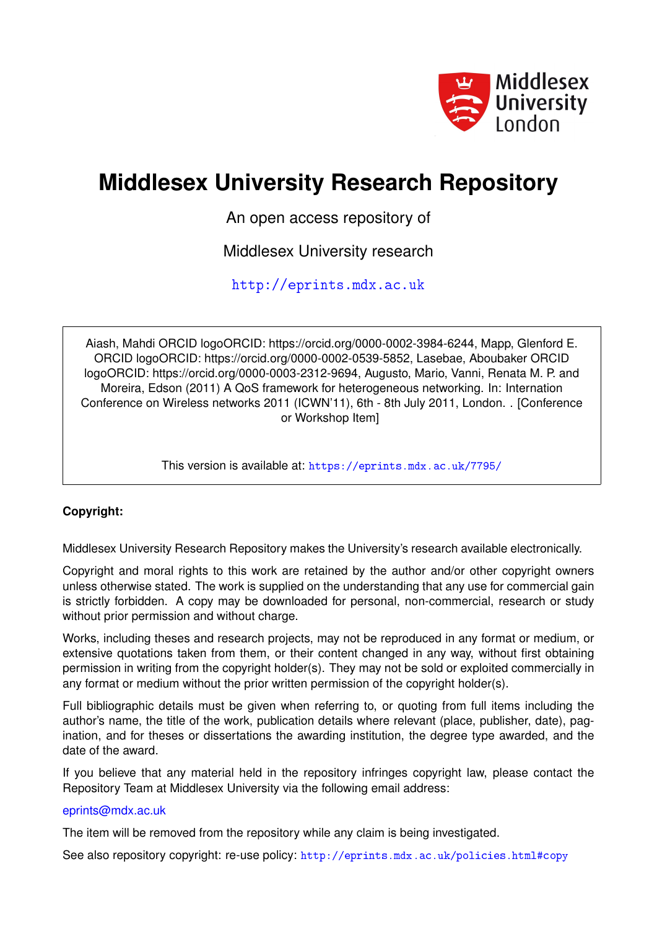

# **Middlesex University Research Repository**

An open access repository of

Middlesex University research

<http://eprints.mdx.ac.uk>

Aiash, Mahdi ORCID logoORCID: https://orcid.org/0000-0002-3984-6244, Mapp, Glenford E. ORCID logoORCID: https://orcid.org/0000-0002-0539-5852, Lasebae, Aboubaker ORCID logoORCID: https://orcid.org/0000-0003-2312-9694, Augusto, Mario, Vanni, Renata M. P. and Moreira, Edson (2011) A QoS framework for heterogeneous networking. In: Internation Conference on Wireless networks 2011 (ICWN'11), 6th - 8th July 2011, London. . [Conference or Workshop Item]

This version is available at: <https://eprints.mdx.ac.uk/7795/>

## **Copyright:**

Middlesex University Research Repository makes the University's research available electronically.

Copyright and moral rights to this work are retained by the author and/or other copyright owners unless otherwise stated. The work is supplied on the understanding that any use for commercial gain is strictly forbidden. A copy may be downloaded for personal, non-commercial, research or study without prior permission and without charge.

Works, including theses and research projects, may not be reproduced in any format or medium, or extensive quotations taken from them, or their content changed in any way, without first obtaining permission in writing from the copyright holder(s). They may not be sold or exploited commercially in any format or medium without the prior written permission of the copyright holder(s).

Full bibliographic details must be given when referring to, or quoting from full items including the author's name, the title of the work, publication details where relevant (place, publisher, date), pagination, and for theses or dissertations the awarding institution, the degree type awarded, and the date of the award.

If you believe that any material held in the repository infringes copyright law, please contact the Repository Team at Middlesex University via the following email address:

## [eprints@mdx.ac.uk](mailto:eprints@mdx.ac.uk)

The item will be removed from the repository while any claim is being investigated.

See also repository copyright: re-use policy: <http://eprints.mdx.ac.uk/policies.html#copy>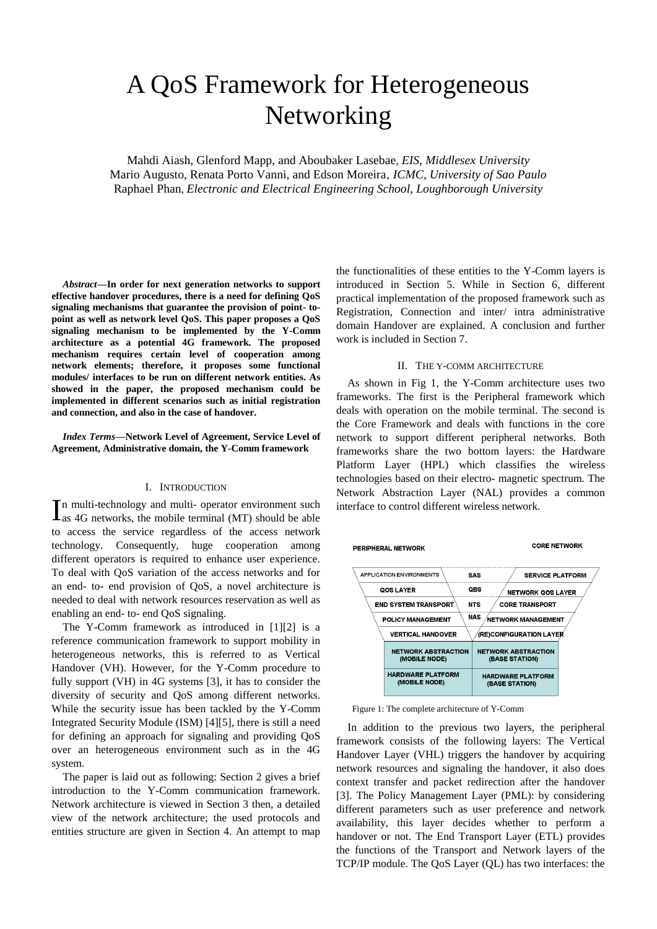# A QoS Framework for Heterogeneous Networking

Mahdi Aiash, Glenford Mapp, and Aboubaker Lasebae*, EIS, Middlesex University* Mario Augusto, Renata Porto Vanni, and Edson Moreira, *ICMC, University of Sao Paulo* Raphael Phan, *Electronic and Electrical Engineering School, Loughborough University*

*Abstract***—In order for next generation networks to support effective handover procedures, there is a need for defining QoS signaling mechanisms that guarantee the provision of point- topoint as well as network level QoS. This paper proposes a QoS signaling mechanism to be implemented by the Y-Comm architecture as a potential 4G framework. The proposed mechanism requires certain level of cooperation among network elements; therefore, it proposes some functional modules/ interfaces to be run on different network entities. As showed in the paper, the proposed mechanism could be implemented in different scenarios such as initial registration and connection, and also in the case of handover.**

## *Index Terms***—Network Level of Agreement, Service Level of Agreement, Administrative domain, the Y-Comm framework**

## I. INTRODUCTION

n multi-technology and multi- operator environment such In multi-technology and multi- operator environment such as 4G networks, the mobile terminal (MT) should be able to access the service regardless of the access network technology. Consequently, huge cooperation among different operators is required to enhance user experience. To deal with QoS variation of the access networks and for an end- to- end provision of QoS, a novel architecture is needed to deal with network resources reservation as well as enabling an end- to- end QoS signaling.

The Y-Comm framework as introduced in [1][2] is a reference communication framework to support mobility in heterogeneous networks, this is referred to as Vertical Handover (VH). However, for the Y-Comm procedure to fully support (VH) in 4G systems [3], it has to consider the diversity of security and QoS among different networks. While the security issue has been tackled by the Y-Comm Integrated Security Module (ISM) [4][5], there is still a need for defining an approach for signaling and providing QoS over an heterogeneous environment such as in the 4G system.

The paper is laid out as following: Section 2 gives a brief introduction to the Y-Comm communication framework. Network architecture is viewed in Section 3 then, a detailed view of the network architecture; the used protocols and entities structure are given in Section 4. An attempt to map

the functionalities of these entities to the Y-Comm layers is introduced in Section 5. While in Section 6, different practical implementation of the proposed framework such as Registration, Connection and inter/ intra administrative domain Handover are explained. A conclusion and further work is included in Section 7.

## II. THE Y-COMM ARCHITECTURE

As shown in Fig 1, the Y-Comm architecture uses two frameworks. The first is the Peripheral framework which deals with operation on the mobile terminal. The second is the Core Framework and deals with functions in the core network to support different peripheral networks. Both frameworks share the two bottom layers: the Hardware Platform Layer (HPL) which classifies the wireless technologies based on their electro- magnetic spectrum. The Network Abstraction Layer (NAL) provides a common interface to control different wireless network.



Figure 1: The complete architecture of Y-Comm

In addition to the previous two layers, the peripheral framework consists of the following layers: The Vertical Handover Layer (VHL) triggers the handover by acquiring network resources and signaling the handover, it also does context transfer and packet redirection after the handover [3]. The Policy Management Layer (PML): by considering different parameters such as user preference and network availability, this layer decides whether to perform a handover or not. The End Transport Layer (ETL) provides the functions of the Transport and Network layers of the TCP/IP module. The QoS Layer (QL) has two interfaces: the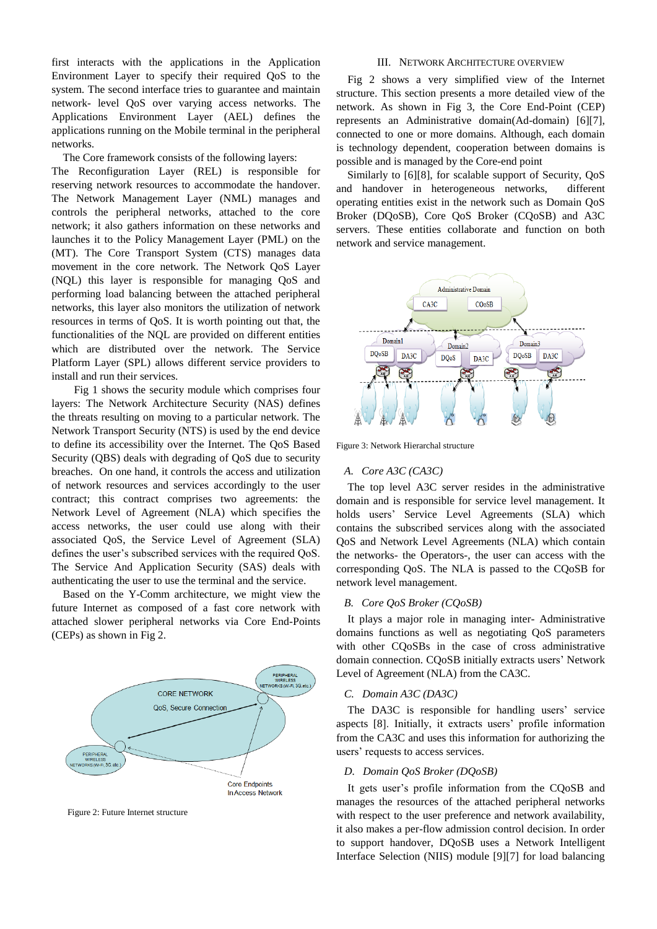first interacts with the applications in the Application Environment Layer to specify their required QoS to the system. The second interface tries to guarantee and maintain network- level QoS over varying access networks. The Applications Environment Layer (AEL) defines the applications running on the Mobile terminal in the peripheral networks.

The Core framework consists of the following layers:

The Reconfiguration Layer (REL) is responsible for reserving network resources to accommodate the handover. The Network Management Layer (NML) manages and controls the peripheral networks, attached to the core network; it also gathers information on these networks and launches it to the Policy Management Layer (PML) on the (MT). The Core Transport System (CTS) manages data movement in the core network. The Network QoS Layer (NQL) this layer is responsible for managing QoS and performing load balancing between the attached peripheral networks, this layer also monitors the utilization of network resources in terms of QoS. It is worth pointing out that, the functionalities of the NQL are provided on different entities which are distributed over the network. The Service Platform Layer (SPL) allows different service providers to install and run their services.

 Fig 1 shows the security module which comprises four layers: The Network Architecture Security (NAS) defines the threats resulting on moving to a particular network. The Network Transport Security (NTS) is used by the end device to define its accessibility over the Internet. The QoS Based Security (QBS) deals with degrading of QoS due to security breaches. On one hand, it controls the access and utilization of network resources and services accordingly to the user contract; this contract comprises two agreements: the Network Level of Agreement (NLA) which specifies the access networks, the user could use along with their associated QoS, the Service Level of Agreement (SLA) defines the user's subscribed services with the required QoS. The Service And Application Security (SAS) deals with authenticating the user to use the terminal and the service.

Based on the Y-Comm architecture, we might view the future Internet as composed of a fast core network with attached slower peripheral networks via Core End-Points (CEPs) as shown in Fig 2.



Figure 2: Future Internet structure

## III. NETWORK ARCHITECTURE OVERVIEW

Fig 2 shows a very simplified view of the Internet structure. This section presents a more detailed view of the network. As shown in Fig 3, the Core End-Point (CEP) represents an Administrative domain(Ad-domain) [6][7], connected to one or more domains. Although, each domain is technology dependent, cooperation between domains is possible and is managed by the Core-end point

Similarly to [6][8], for scalable support of Security, QoS and handover in heterogeneous networks, different operating entities exist in the network such as Domain QoS Broker (DQoSB), Core QoS Broker (CQoSB) and A3C servers. These entities collaborate and function on both network and service management.



Figure 3: Network Hierarchal structure

## *A. Core A3C (CA3C)*

The top level A3C server resides in the administrative domain and is responsible for service level management. It holds users' Service Level Agreements (SLA) which contains the subscribed services along with the associated QoS and Network Level Agreements (NLA) which contain the networks- the Operators-, the user can access with the corresponding QoS. The NLA is passed to the CQoSB for network level management.

#### *B. Core QoS Broker (CQoSB)*

It plays a major role in managing inter- Administrative domains functions as well as negotiating QoS parameters with other CQoSBs in the case of cross administrative domain connection. CQoSB initially extracts users' Network Level of Agreement (NLA) from the CA3C.

## *C. Domain A3C (DA3C)*

The DA3C is responsible for handling users' service aspects [8]. Initially, it extracts users' profile information from the CA3C and uses this information for authorizing the users' requests to access services.

## *D. Domain QoS Broker (DQoSB)*

It gets user's profile information from the CQoSB and manages the resources of the attached peripheral networks with respect to the user preference and network availability, it also makes a per-flow admission control decision. In order to support handover, DQoSB uses a Network Intelligent Interface Selection (NIIS) module [9][7] for load balancing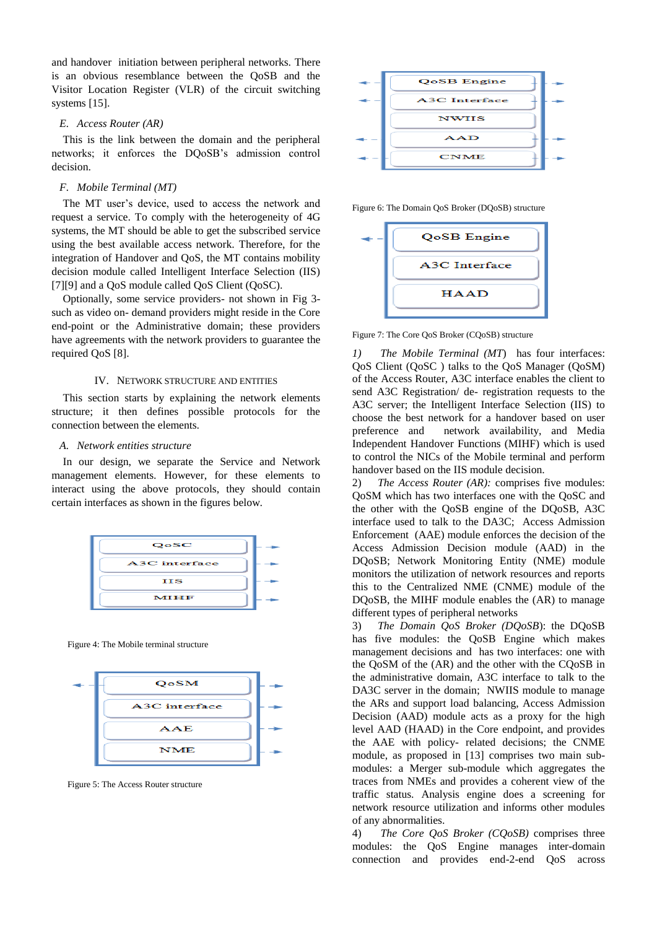and handover initiation between peripheral networks. There is an obvious resemblance between the QoSB and the Visitor Location Register (VLR) of the circuit switching systems [15].

## *E. Access Router (AR)*

This is the link between the domain and the peripheral networks; it enforces the DQoSB's admission control decision.

## *F. Mobile Terminal (MT)*

The MT user's device, used to access the network and request a service. To comply with the heterogeneity of 4G systems, the MT should be able to get the subscribed service using the best available access network. Therefore, for the integration of Handover and QoS, the MT contains mobility decision module called Intelligent Interface Selection (IIS) [7][9] and a OoS module called OoS Client (OoSC).

Optionally, some service providers- not shown in Fig 3 such as video on- demand providers might reside in the Core end-point or the Administrative domain; these providers have agreements with the network providers to guarantee the required QoS [8].

## IV. NETWORK STRUCTURE AND ENTITIES

This section starts by explaining the network elements structure; it then defines possible protocols for the connection between the elements.

## *A. Network entities structure*

In our design, we separate the Service and Network management elements. However, for these elements to interact using the above protocols, they should contain certain interfaces as shown in the figures below.



Figure 4: The Mobile terminal structure



Figure 5: The Access Router structure



Figure 6: The Domain QoS Broker (DQoSB) structure



Figure 7: The Core QoS Broker (CQoSB) structure

*1) The Mobile Terminal (MT*) has four interfaces: QoS Client (QoSC ) talks to the QoS Manager (QoSM) of the Access Router, A3C interface enables the client to send A3C Registration/ de- registration requests to the A3C server; the Intelligent Interface Selection (IIS) to choose the best network for a handover based on user preference and network availability, and Media Independent Handover Functions (MIHF) which is used to control the NICs of the Mobile terminal and perform handover based on the IIS module decision.

2) *The Access Router (AR):* comprises five modules: QoSM which has two interfaces one with the QoSC and the other with the QoSB engine of the DQoSB, A3C interface used to talk to the DA3C; Access Admission Enforcement (AAE) module enforces the decision of the Access Admission Decision module (AAD) in the DQoSB; Network Monitoring Entity (NME) module monitors the utilization of network resources and reports this to the Centralized NME (CNME) module of the DQoSB, the MIHF module enables the (AR) to manage different types of peripheral networks

3) *The Domain QoS Broker (DQoSB*): the DQoSB has five modules: the QoSB Engine which makes management decisions and has two interfaces: one with the QoSM of the (AR) and the other with the CQoSB in the administrative domain, A3C interface to talk to the DA3C server in the domain; NWIIS module to manage the ARs and support load balancing, Access Admission Decision (AAD) module acts as a proxy for the high level AAD (HAAD) in the Core endpoint, and provides the AAE with policy- related decisions; the CNME module, as proposed in [13] comprises two main submodules: a Merger sub-module which aggregates the traces from NMEs and provides a coherent view of the traffic status. Analysis engine does a screening for network resource utilization and informs other modules of any abnormalities.

4) *The Core QoS Broker (CQoSB)* comprises three modules: the QoS Engine manages inter-domain connection and provides end-2-end QoS across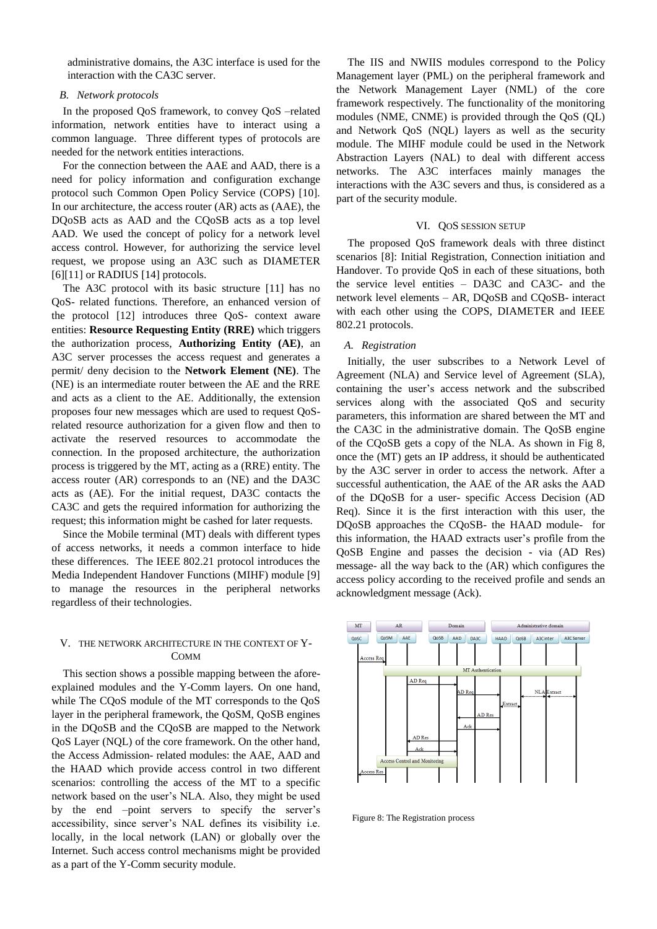administrative domains, the A3C interface is used for the interaction with the CA3C server.

## *B. Network protocols*

In the proposed QoS framework, to convey QoS –related information, network entities have to interact using a common language. Three different types of protocols are needed for the network entities interactions.

For the connection between the AAE and AAD, there is a need for policy information and configuration exchange protocol such Common Open Policy Service (COPS) [10]. In our architecture, the access router (AR) acts as (AAE), the DQoSB acts as AAD and the CQoSB acts as a top level AAD. We used the concept of policy for a network level access control. However, for authorizing the service level request, we propose using an A3C such as DIAMETER [6][11] or RADIUS [14] protocols.

The A3C protocol with its basic structure [11] has no QoS- related functions. Therefore, an enhanced version of the protocol [12] introduces three QoS- context aware entities: **Resource Requesting Entity (RRE)** which triggers the authorization process, **Authorizing Entity (AE)**, an A3C server processes the access request and generates a permit/ deny decision to the **Network Element (NE)**. The (NE) is an intermediate router between the AE and the RRE and acts as a client to the AE. Additionally, the extension proposes four new messages which are used to request QoSrelated resource authorization for a given flow and then to activate the reserved resources to accommodate the connection. In the proposed architecture, the authorization process is triggered by the MT, acting as a (RRE) entity. The access router (AR) corresponds to an (NE) and the DA3C acts as (AE). For the initial request, DA3C contacts the CA3C and gets the required information for authorizing the request; this information might be cashed for later requests.

Since the Mobile terminal (MT) deals with different types of access networks, it needs a common interface to hide these differences. The IEEE 802.21 protocol introduces the Media Independent Handover Functions (MIHF) module [9] to manage the resources in the peripheral networks regardless of their technologies.

## V. THE NETWORK ARCHITECTURE IN THE CONTEXT OF Y-COMM

This section shows a possible mapping between the aforeexplained modules and the Y-Comm layers. On one hand, while The CQoS module of the MT corresponds to the QoS layer in the peripheral framework, the QoSM, QoSB engines in the DQoSB and the CQoSB are mapped to the Network QoS Layer (NQL) of the core framework. On the other hand, the Access Admission- related modules: the AAE, AAD and the HAAD which provide access control in two different scenarios: controlling the access of the MT to a specific network based on the user's NLA. Also, they might be used by the end –point servers to specify the server's accessibility, since server's NAL defines its visibility i.e. locally, in the local network (LAN) or globally over the Internet. Such access control mechanisms might be provided as a part of the Y-Comm security module.

The IIS and NWIIS modules correspond to the Policy Management layer (PML) on the peripheral framework and the Network Management Layer (NML) of the core framework respectively. The functionality of the monitoring modules (NME, CNME) is provided through the QoS (QL) and Network QoS (NQL) layers as well as the security module. The MIHF module could be used in the Network Abstraction Layers (NAL) to deal with different access networks. The A3C interfaces mainly manages the interactions with the A3C severs and thus, is considered as a part of the security module.

## VI. QOS SESSION SETUP

The proposed QoS framework deals with three distinct scenarios [8]: Initial Registration, Connection initiation and Handover. To provide QoS in each of these situations, both the service level entities – DA3C and CA3C- and the network level elements – AR, DQoSB and CQoSB- interact with each other using the COPS, DIAMETER and IEEE 802.21 protocols.

#### *A. Registration*

Initially, the user subscribes to a Network Level of Agreement (NLA) and Service level of Agreement (SLA), containing the user's access network and the subscribed services along with the associated QoS and security parameters, this information are shared between the MT and the CA3C in the administrative domain. The QoSB engine of the CQoSB gets a copy of the NLA. As shown in Fig 8, once the (MT) gets an IP address, it should be authenticated by the A3C server in order to access the network. After a successful authentication, the AAE of the AR asks the AAD of the DQoSB for a user- specific Access Decision (AD Req). Since it is the first interaction with this user, the DQoSB approaches the CQoSB- the HAAD module- for this information, the HAAD extracts user's profile from the QoSB Engine and passes the decision - via (AD Res) message- all the way back to the (AR) which configures the access policy according to the received profile and sends an acknowledgment message (Ack).



Figure 8: The Registration process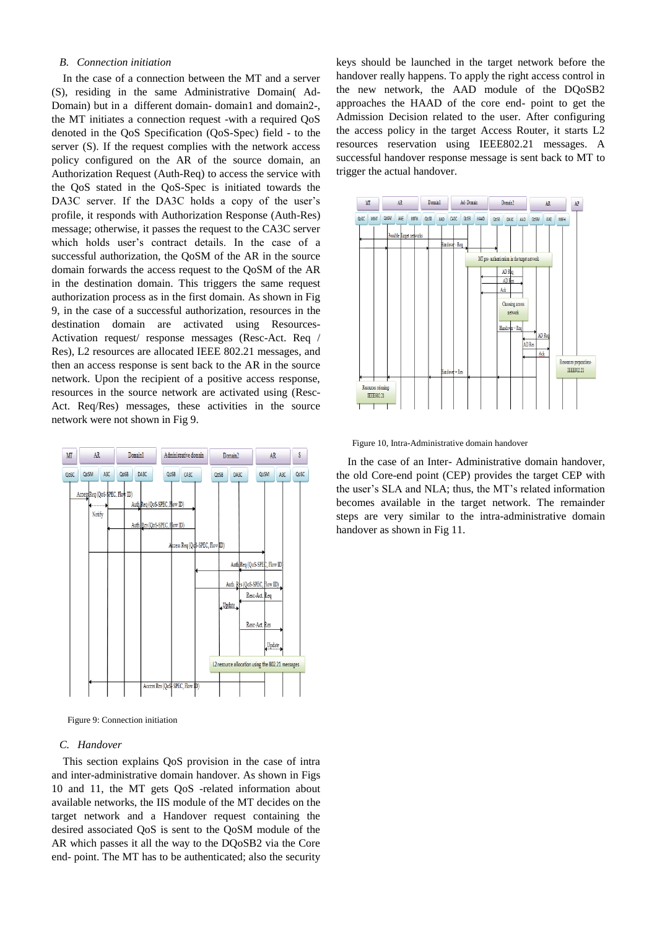## *B. Connection initiation*

In the case of a connection between the MT and a server (S), residing in the same Administrative Domain( Ad-Domain) but in a different domain-domain1 and domain2-, the MT initiates a connection request -with a required QoS denoted in the QoS Specification (QoS-Spec) field - to the server (S). If the request complies with the network access policy configured on the AR of the source domain, an Authorization Request (Auth-Req) to access the service with the QoS stated in the QoS-Spec is initiated towards the DA3C server. If the DA3C holds a copy of the user's profile, it responds with Authorization Response (Auth-Res) message; otherwise, it passes the request to the CA3C server which holds user's contract details. In the case of a successful authorization, the QoSM of the AR in the source domain forwards the access request to the QoSM of the AR in the destination domain. This triggers the same request authorization process as in the first domain. As shown in Fig 9, in the case of a successful authorization, resources in the destination domain are activated using Resources-Activation request/ response messages (Resc-Act. Req / Res), L2 resources are allocated IEEE 802.21 messages, and then an access response is sent back to the AR in the source network. Upon the recipient of a positive access response, resources in the source network are activated using (Resc-Act. Req/Res) messages, these activities in the source network were not shown in Fig 9.



Figure 9: Connection initiation

#### *C. Handover*

This section explains QoS provision in the case of intra and inter-administrative domain handover. As shown in Figs 10 and 11, the MT gets QoS -related information about available networks, the IIS module of the MT decides on the target network and a Handover request containing the desired associated QoS is sent to the QoSM module of the AR which passes it all the way to the DQoSB2 via the Core end- point. The MT has to be authenticated; also the security keys should be launched in the target network before the handover really happens. To apply the right access control in the new network, the AAD module of the DQoSB2 approaches the HAAD of the core end- point to get the Admission Decision related to the user. After configuring the access policy in the target Access Router, it starts L2 resources reservation using IEEE802.21 messages. A successful handover response message is sent back to MT to trigger the actual handover.



Figure 10, Intra-Administrative domain handover

In the case of an Inter- Administrative domain handover, the old Core-end point (CEP) provides the target CEP with the user's SLA and NLA; thus, the MT's related information becomes available in the target network. The remainder steps are very similar to the intra-administrative domain handover as shown in Fig 11.